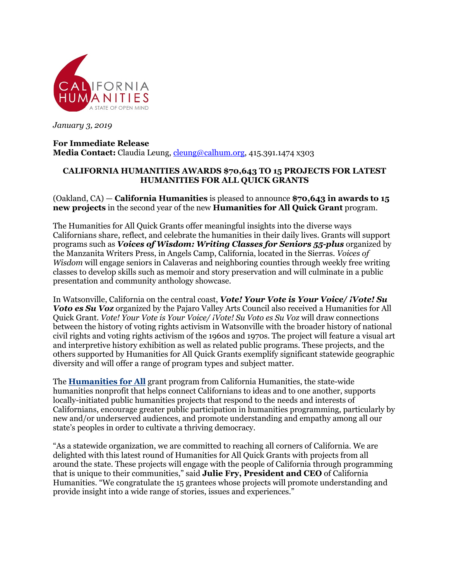

*January 3, 2019*

## **For Immediate Release Media Contact:** Claudia Leung, cleung@calhum.org, 415.391.1474 x303

## **CALIFORNIA HUMANITIES AWARDS \$70,643 TO 15 PROJECTS FOR LATEST HUMANITIES FOR ALL QUICK GRANTS**

(Oakland, CA) — **California Humanities** is pleased to announce **\$70,643 in awards to 15 new projects** in the second year of the new **Humanities for All Quick Grant** program.

The Humanities for All Quick Grants offer meaningful insights into the diverse ways Californians share, reflect, and celebrate the humanities in their daily lives. Grants will support programs such as *Voices of Wisdom: Writing Classes for Seniors 55-plus* organized by the Manzanita Writers Press, in Angels Camp, California, located in the Sierras. *Voices of Wisdom* will engage seniors in Calaveras and neighboring counties through weekly free writing classes to develop skills such as memoir and story preservation and will culminate in a public presentation and community anthology showcase.

In Watsonville, California on the central coast, *Vote! Your Vote is Your Voice/ ¡Vote! Su Voto es Su Voz* organized by the Pajaro Valley Arts Council also received a Humanities for All Quick Grant. *Vote! Your Vote is Your Voice/ ¡Vote! Su Voto es Su Voz* will draw connections between the history of voting rights activism in Watsonville with the broader history of national civil rights and voting rights activism of the 1960s and 1970s. The project will feature a visual art and interpretive history exhibition as well as related public programs. These projects, and the others supported by Humanities for All Quick Grants exemplify significant statewide geographic diversity and will offer a range of program types and subject matter.

The **Humanities for All** grant program from California Humanities, the state-wide humanities nonprofit that helps connect Californians to ideas and to one another, supports locally-initiated public humanities projects that respond to the needs and interests of Californians, encourage greater public participation in humanities programming, particularly by new and/or underserved audiences, and promote understanding and empathy among all our state's peoples in order to cultivate a thriving democracy.

"As a statewide organization, we are committed to reaching all corners of California. We are delighted with this latest round of Humanities for All Quick Grants with projects from all around the state. These projects will engage with the people of California through programming that is unique to their communities," said **Julie Fry, President and CEO** of California Humanities. "We congratulate the 15 grantees whose projects will promote understanding and provide insight into a wide range of stories, issues and experiences."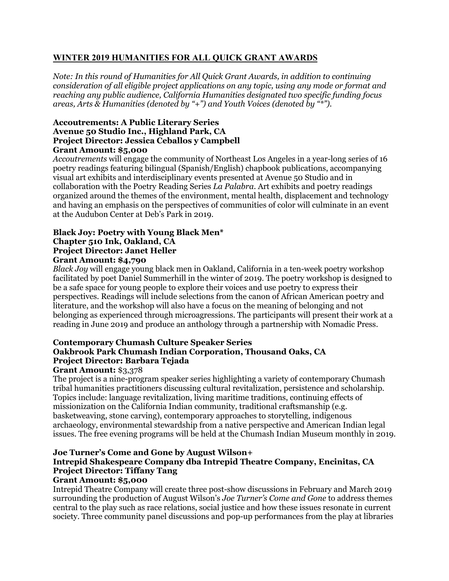## **WINTER 2019 HUMANITIES FOR ALL QUICK GRANT AWARDS**

*Note: In this round of Humanities for All Quick Grant Awards, in addition to continuing consideration of all eligible project applications on any topic, using any mode or format and reaching any public audience, California Humanities designated two specific funding focus areas, Arts & Humanities (denoted by "+") and Youth Voices (denoted by "\*").*

### **Accoutrements: A Public Literary Series Avenue 50 Studio Inc., Highland Park, CA Project Director: Jessica Ceballos y Campbell Grant Amount: \$5,000**

*Accoutrements* will engage the community of Northeast Los Angeles in a year-long series of 16 poetry readings featuring bilingual (Spanish/English) chapbook publications, accompanying visual art exhibits and interdisciplinary events presented at Avenue 50 Studio and in collaboration with the Poetry Reading Series *La Palabra.* Art exhibits and poetry readings organized around the themes of the environment, mental health, displacement and technology and having an emphasis on the perspectives of communities of color will culminate in an event at the Audubon Center at Deb's Park in 2019.

### **Black Joy: Poetry with Young Black Men\* Chapter 510 Ink, Oakland, CA Project Director: Janet Heller Grant Amount: \$4,790**

*Black Joy* will engage young black men in Oakland, California in a ten-week poetry workshop facilitated by poet Daniel Summerhill in the winter of 2019. The poetry workshop is designed to be a safe space for young people to explore their voices and use poetry to express their perspectives. Readings will include selections from the canon of African American poetry and literature, and the workshop will also have a focus on the meaning of belonging and not belonging as experienced through microagressions. The participants will present their work at a reading in June 2019 and produce an anthology through a partnership with Nomadic Press.

## **Contemporary Chumash Culture Speaker Series Oakbrook Park Chumash Indian Corporation, Thousand Oaks, CA Project Director: Barbara Tejada**

## **Grant Amount:** \$3,378

The project is a nine-program speaker series highlighting a variety of contemporary Chumash tribal humanities practitioners discussing cultural revitalization, persistence and scholarship. Topics include: language revitalization, living maritime traditions, continuing effects of missionization on the California Indian community, traditional craftsmanship (e.g. basketweaving, stone carving), contemporary approaches to storytelling, indigenous archaeology, environmental stewardship from a native perspective and American Indian legal issues. The free evening programs will be held at the Chumash Indian Museum monthly in 2019.

## **Joe Turner's Come and Gone by August Wilson+ Intrepid Shakespeare Company dba Intrepid Theatre Company, Encinitas, CA Project Director: Tiffany Tang**

## **Grant Amount: \$5,000**

Intrepid Theatre Company will create three post-show discussions in February and March 2019 surrounding the production of August Wilson's *Joe Turner's Come and Gone* to address themes central to the play such as race relations, social justice and how these issues resonate in current society. Three community panel discussions and pop-up performances from the play at libraries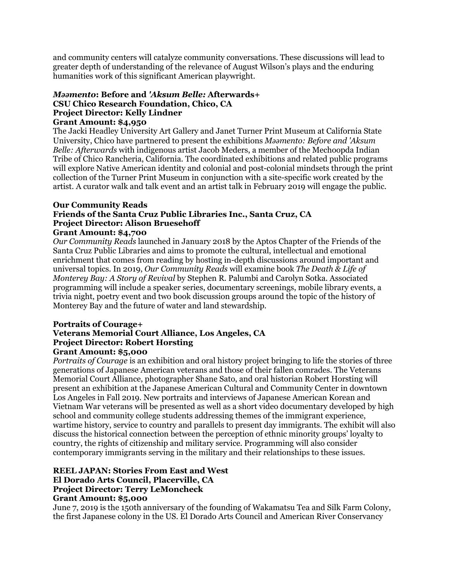and community centers will catalyze community conversations. These discussions will lead to greater depth of understanding of the relevance of August Wilson's plays and the enduring humanities work of this significant American playwright.

### *Mǝǝmento***: Before and** *'Aksum Belle:* **Afterwards+ CSU Chico Research Foundation, Chico, CA Project Director: Kelly Lindner Grant Amount: \$4,950**

The Jacki Headley University Art Gallery and Janet Turner Print Museum at California State University, Chico have partnered to present the exhibitions *Mǝǝmento: Before and 'Aksum Belle: Afterwards* with indigenous artist Jacob Meders, a member of the Mechoopda Indian Tribe of Chico Rancheria, California. The coordinated exhibitions and related public programs will explore Native American identity and colonial and post-colonial mindsets through the print collection of the Turner Print Museum in conjunction with a site-specific work created by the artist. A curator walk and talk event and an artist talk in February 2019 will engage the public.

## **Our Community Reads Friends of the Santa Cruz Public Libraries Inc., Santa Cruz, CA Project Director: Alison Bruesehoff**

### **Grant Amount: \$4,700**

*Our Community Reads* launched in January 2018 by the Aptos Chapter of the Friends of the Santa Cruz Public Libraries and aims to promote the cultural, intellectual and emotional enrichment that comes from reading by hosting in-depth discussions around important and universal topics. In 2019, *Our Community Reads* will examine book *The Death & Life of Monterey Bay: A Story of Revival* by Stephen R. Palumbi and Carolyn Sotka. Associated programming will include a speaker series, documentary screenings, mobile library events, a trivia night, poetry event and two book discussion groups around the topic of the history of Monterey Bay and the future of water and land stewardship.

#### **Portraits of Courage+ Veterans Memorial Court Alliance, Los Angeles, CA Project Director: Robert Horsting Grant Amount: \$5,000**

*Portraits of Courage* is an exhibition and oral history project bringing to life the stories of three generations of Japanese American veterans and those of their fallen comrades. The Veterans Memorial Court Alliance, photographer Shane Sato, and oral historian Robert Horsting will present an exhibition at the Japanese American Cultural and Community Center in downtown Los Angeles in Fall 2019. New portraits and interviews of Japanese American Korean and Vietnam War veterans will be presented as well as a short video documentary developed by high school and community college students addressing themes of the immigrant experience, wartime history, service to country and parallels to present day immigrants. The exhibit will also discuss the historical connection between the perception of ethnic minority groups' loyalty to country, the rights of citizenship and military service. Programming will also consider contemporary immigrants serving in the military and their relationships to these issues.

## **REEL JAPAN: Stories From East and West El Dorado Arts Council, Placerville, CA Project Director: Terry LeMoncheck**

## **Grant Amount: \$5,000**

June 7, 2019 is the 150th anniversary of the founding of Wakamatsu Tea and Silk Farm Colony, the first Japanese colony in the US. El Dorado Arts Council and American River Conservancy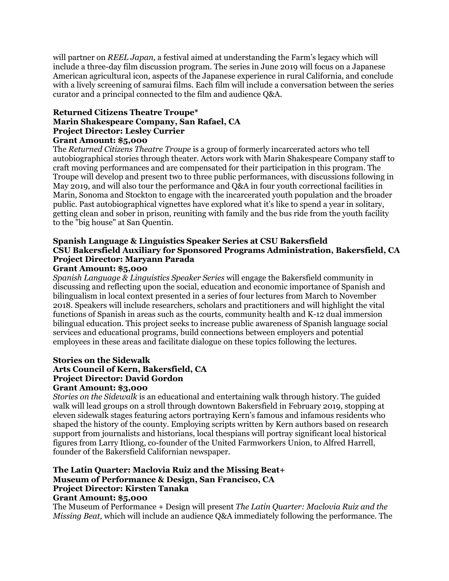will partner on *REEL Japan,* a festival aimed at understanding the Farm's legacy which will include a three-day film discussion program. The series in June 2019 will focus on a Japanese American agricultural icon, aspects of the Japanese experience in rural California, and conclude with a lively screening of samurai films. Each film will include a conversation between the series curator and a principal connected to the film and audience Q&A.

#### **Returned Citizens Theatre Troupe\* Marin Shakespeare Company, San Rafael, CA Project Director: Lesley Currier Grant Amount: \$5,000**

The *Returned Citizens Theatre Troupe* is a group of formerly incarcerated actors who tell autobiographical stories through theater. Actors work with Marin Shakespeare Company staff to craft moving performances and are compensated for their participation in this program. The Troupe will develop and present two to three public performances, with discussions following in May 2019, and will also tour the performance and Q&A in four youth correctional facilities in Marin, Sonoma and Stockton to engage with the incarcerated youth population and the broader public. Past autobiographical vignettes have explored what it's like to spend a year in solitary, getting clean and sober in prison, reuniting with family and the bus ride from the youth facility to the "big house" at San Quentin.

## **Spanish Language & Linguistics Speaker Series at CSU Bakersfield CSU Bakersfield Auxiliary for Sponsored Programs Administration, Bakersfield, CA Project Director: Maryann Parada**

## **Grant Amount: \$5,000**

*Spanish Language & Linguistics Speaker Series* will engage the Bakersfield community in discussing and reflecting upon the social, education and economic importance of Spanish and bilingualism in local context presented in a series of four lectures from March to November 2018. Speakers will include researchers, scholars and practitioners and will highlight the vital functions of Spanish in areas such as the courts, community health and K-12 dual immersion bilingual education. This project seeks to increase public awareness of Spanish language social services and educational programs, build connections between employers and potential employees in these areas and facilitate dialogue on these topics following the lectures.

## **Stories on the Sidewalk**

### **Arts Council of Kern, Bakersfield, CA Project Director: David Gordon**

### **Grant Amount: \$3,000**

*Stories on the Sidewalk* is an educational and entertaining walk through history. The guided walk will lead groups on a stroll through downtown Bakersfield in February 2019, stopping at eleven sidewalk stages featuring actors portraying Kern's famous and infamous residents who shaped the history of the county. Employing scripts written by Kern authors based on research support from journalists and historians, local thespians will portray significant local historical figures from Larry Itliong, co-founder of the United Farmworkers Union, to Alfred Harrell, founder of the Bakersfield Californian newspaper.

#### **The Latin Quarter: Maclovia Ruiz and the Missing Beat+ Museum of Performance & Design, San Francisco, CA Project Director: Kirsten Tanaka Grant Amount: \$5,000**

The Museum of Performance + Design will present *The Latin Quarter: Maclovia Ruiz and the Missing Beat,* which will include an audience Q&A immediately following the performance. The